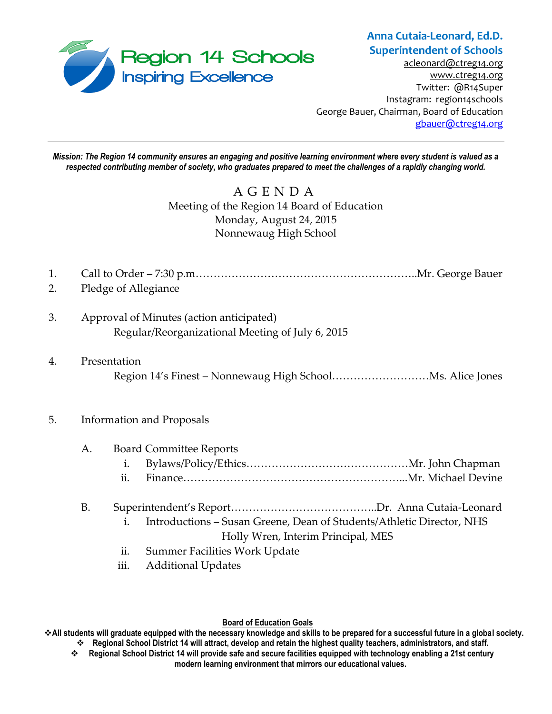

## **Anna Cutaia-Leonard, Ed.D. Superintendent of Schools**

[acleonard@ctreg14.org](mailto:acleonard@ctreg14.org) [www.ctreg14.org](http://www.ctreg14.org/) Twitter: @R14Super Instagram: region14schools George Bauer, Chairman, Board of Education [gbauer@ctreg14.org](mailto:gbauer@ctreg14.org)

*Mission: The Region 14 community ensures an engaging and positive learning environment where every student is valued as a respected contributing member of society, who graduates prepared to meet the challenges of a rapidly changing world.*

## A G E N D A Meeting of the Region 14 Board of Education Monday, August 24, 2015 Nonnewaug High School

| 1.               |                                    |                                                                             |
|------------------|------------------------------------|-----------------------------------------------------------------------------|
| 2.               |                                    | Pledge of Allegiance                                                        |
| 3.               |                                    | Approval of Minutes (action anticipated)                                    |
|                  |                                    | Regular/Reorganizational Meeting of July 6, 2015                            |
| $\overline{4}$ . |                                    | Presentation                                                                |
|                  |                                    |                                                                             |
| 5.               |                                    | Information and Proposals                                                   |
|                  | А.                                 | <b>Board Committee Reports</b>                                              |
|                  |                                    | $\mathbf{1}$ .                                                              |
|                  |                                    | ii.                                                                         |
|                  | <b>B.</b>                          |                                                                             |
|                  |                                    | Introductions – Susan Greene, Dean of Students/Athletic Director, NHS<br>İ. |
|                  | Holly Wren, Interim Principal, MES |                                                                             |

- ii. Summer Facilities Work Update
- iii. Additional Updates

#### **Board of Education Goals**

**All students will graduate equipped with the necessary knowledge and skills to be prepared for a successful future in a global society. Regional School District 14 will attract, develop and retain the highest quality teachers, administrators, and staff.**

 **Regional School District 14 will provide safe and secure facilities equipped with technology enabling a 21st century modern learning environment that mirrors our educational values.**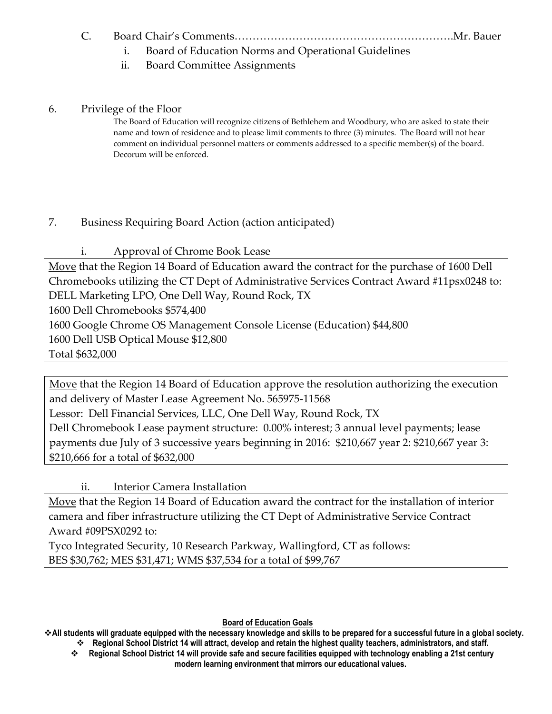### C. Board Chair's Comments…………………………………………………….Mr. Bauer

- i. Board of Education Norms and Operational Guidelines
- ii. Board Committee Assignments

### 6. Privilege of the Floor

The Board of Education will recognize citizens of Bethlehem and Woodbury, who are asked to state their name and town of residence and to please limit comments to three (3) minutes. The Board will not hear comment on individual personnel matters or comments addressed to a specific member(s) of the board. Decorum will be enforced.

## 7. Business Requiring Board Action (action anticipated)

i. Approval of Chrome Book Lease

Move that the Region 14 Board of Education award the contract for the purchase of 1600 Dell Chromebooks utilizing the CT Dept of Administrative Services Contract Award #11psx0248 to: DELL Marketing LPO, One Dell Way, Round Rock, TX 1600 Dell Chromebooks \$574,400 1600 Google Chrome OS Management Console License (Education) \$44,800 1600 Dell USB Optical Mouse \$12,800 Total \$632,000

Move that the Region 14 Board of Education approve the resolution authorizing the execution and delivery of Master Lease Agreement No. 565975-11568 Lessor: Dell Financial Services, LLC, One Dell Way, Round Rock, TX Dell Chromebook Lease payment structure: 0.00% interest; 3 annual level payments; lease payments due July of 3 successive years beginning in 2016: \$210,667 year 2: \$210,667 year 3: \$210,666 for a total of \$632,000

# ii. Interior Camera Installation

Move that the Region 14 Board of Education award the contract for the installation of interior camera and fiber infrastructure utilizing the CT Dept of Administrative Service Contract Award #09PSX0292 to:

Tyco Integrated Security, 10 Research Parkway, Wallingford, CT as follows: BES \$30,762; MES \$31,471; WMS \$37,534 for a total of \$99,767

#### **Board of Education Goals**

**All students will graduate equipped with the necessary knowledge and skills to be prepared for a successful future in a global society. Regional School District 14 will attract, develop and retain the highest quality teachers, administrators, and staff.**

 **Regional School District 14 will provide safe and secure facilities equipped with technology enabling a 21st century modern learning environment that mirrors our educational values.**